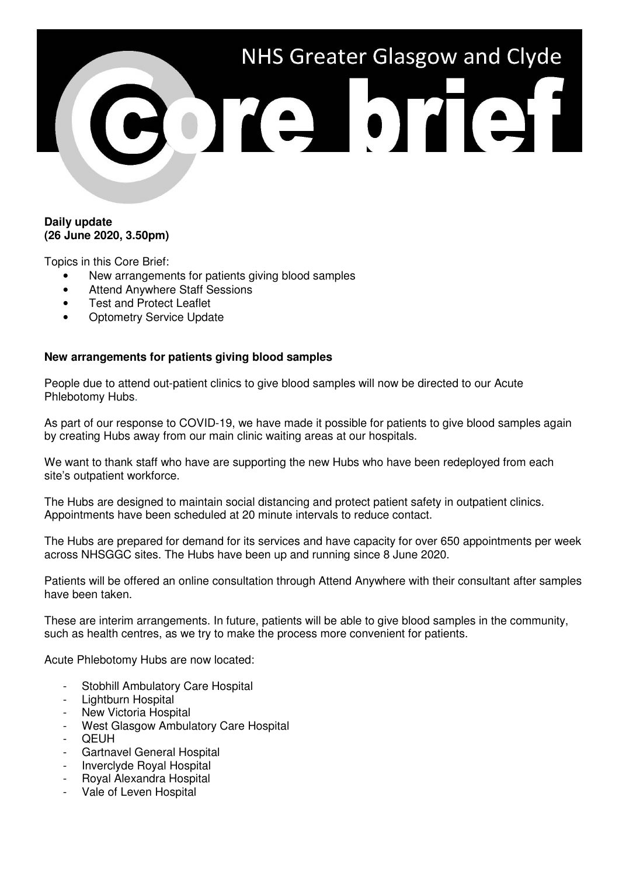

### **Daily update (26 June 2020, 3.50pm)**

Topics in this Core Brief:

- New arrangements for patients giving blood samples
- Attend Anywhere Staff Sessions
- **Test and Protect Leaflet**
- **Optometry Service Update**

# **New arrangements for patients giving blood samples**

People due to attend out-patient clinics to give blood samples will now be directed to our Acute Phlebotomy Hubs.

As part of our response to COVID-19, we have made it possible for patients to give blood samples again by creating Hubs away from our main clinic waiting areas at our hospitals.

We want to thank staff who have are supporting the new Hubs who have been redeployed from each site's outpatient workforce.

The Hubs are designed to maintain social distancing and protect patient safety in outpatient clinics. Appointments have been scheduled at 20 minute intervals to reduce contact.

The Hubs are prepared for demand for its services and have capacity for over 650 appointments per week across NHSGGC sites. The Hubs have been up and running since 8 June 2020.

Patients will be offered an online consultation through Attend Anywhere with their consultant after samples have been taken.

These are interim arrangements. In future, patients will be able to give blood samples in the community, such as health centres, as we try to make the process more convenient for patients.

Acute Phlebotomy Hubs are now located:

- Stobhill Ambulatory Care Hospital
- Lightburn Hospital
- New Victoria Hospital
- West Glasgow Ambulatory Care Hospital
- **QEUH**
- Gartnavel General Hospital
- Inverclyde Royal Hospital
- Royal Alexandra Hospital
- Vale of Leven Hospital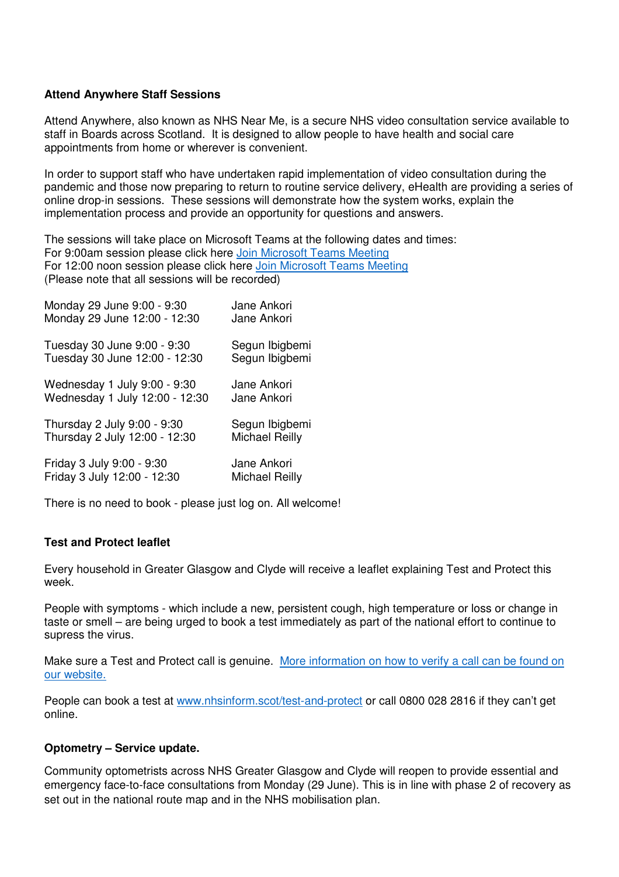# **Attend Anywhere Staff Sessions**

Attend Anywhere, also known as NHS Near Me, is a secure NHS video consultation service available to staff in Boards across Scotland. It is designed to allow people to have health and social care appointments from home or wherever is convenient.

In order to support staff who have undertaken rapid implementation of video consultation during the pandemic and those now preparing to return to routine service delivery, eHealth are providing a series of online drop-in sessions. These sessions will demonstrate how the system works, explain the implementation process and provide an opportunity for questions and answers.

The sessions will take place on Microsoft Teams at the following dates and times: For 9:00am session please click here Join Microsoft Teams Meeting For 12:00 noon session please click here Join Microsoft Teams Meeting (Please note that all sessions will be recorded)

| Monday 29 June 9:00 - 9:30     | Jane Ankori           |
|--------------------------------|-----------------------|
| Monday 29 June 12:00 - 12:30   | Jane Ankori           |
| Tuesday 30 June 9:00 - 9:30    | Segun Ibigbemi        |
| Tuesday 30 June 12:00 - 12:30  | Segun Ibigbemi        |
| Wednesday 1 July 9:00 - 9:30   | Jane Ankori           |
| Wednesday 1 July 12:00 - 12:30 | Jane Ankori           |
| Thursday 2 July 9:00 - 9:30    | Segun Ibigbemi        |
| Thursday 2 July 12:00 - 12:30  | <b>Michael Reilly</b> |
| Friday 3 July 9:00 - 9:30      | Jane Ankori           |
| Friday 3 July 12:00 - 12:30    | <b>Michael Reilly</b> |

There is no need to book - please just log on. All welcome!

### **Test and Protect leaflet**

Every household in Greater Glasgow and Clyde will receive a leaflet explaining Test and Protect this week.

People with symptoms - which include a new, persistent cough, high temperature or loss or change in taste or smell – are being urged to book a test immediately as part of the national effort to continue to supress the virus.

Make sure a Test and Protect call is genuine. More information on how to verify a call can be found on our website.

People can book a test at www.nhsinform.scot/test-and-protect or call 0800 028 2816 if they can't get online.

### **Optometry – Service update.**

Community optometrists across NHS Greater Glasgow and Clyde will reopen to provide essential and emergency face-to-face consultations from Monday (29 June). This is in line with phase 2 of recovery as set out in the national route map and in the NHS mobilisation plan.